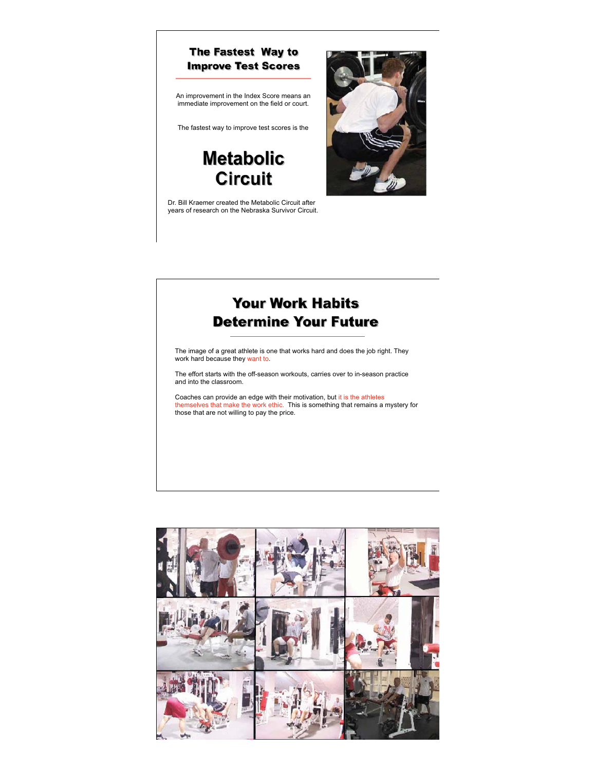

## **Your Work Habits Determine Your Future**

The image of a great athlete is one that works hard and does the job right. They work hard because they want to.

The effort starts with the off-season workouts, carries over to in-season practice and into the classroom.

Coaches can provide an edge with their motivation, but it is the athletes themselves that make the work ethic. This is something that remains a mystery for those that are not willing to pay the price.

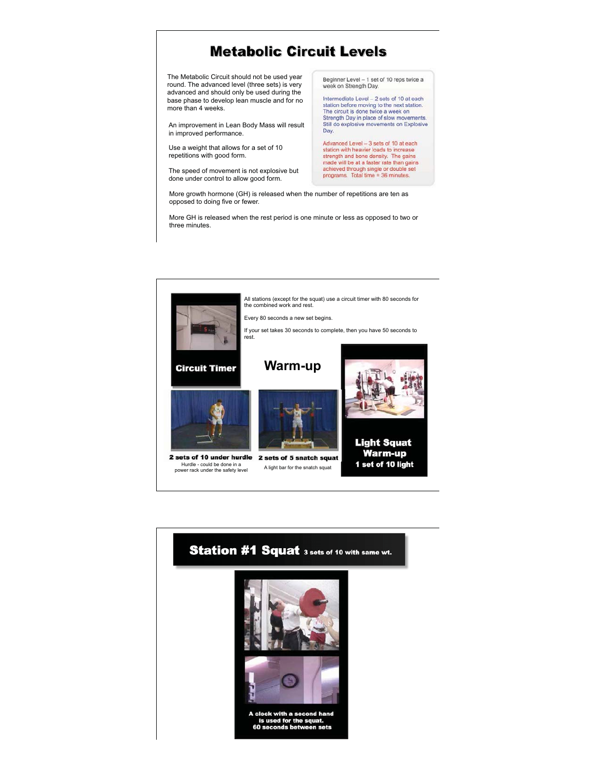## **Metabolic Circuit Levels**

The Metabolic Circuit should not be used year round. The advanced level (three sets) is very advanced and should only be used during the base phase to develop lean muscle and for no more than 4 weeks.

An improvement in Lean Body Mass will result in improved performance.

Use a weight that allows for a set of 10 repetitions with good form.

The speed of movement is not explosive but done under control to allow good form.

Beginner Level - 1 set of 10 reps twice a<br>week on Strength Day.

Intermediate Level – 2 sets of 10 at each station before moving to the next station. The circuit is done twice a week on Strength Day in place of slow movements. Still do explosive movements on Explosive Day.

Advanced Level – 3 sets of 10 at each station with heavier loads to increase strength and bone density. The gains made will be at a faster rate than gains achieved through single or double set programs. Total time = 36 minutes.

More growth hormone (GH) is released when the number of repetitions are ten as opposed to doing five or fewer.

More GH is released when the rest period is one minute or less as opposed to two or three minutes.



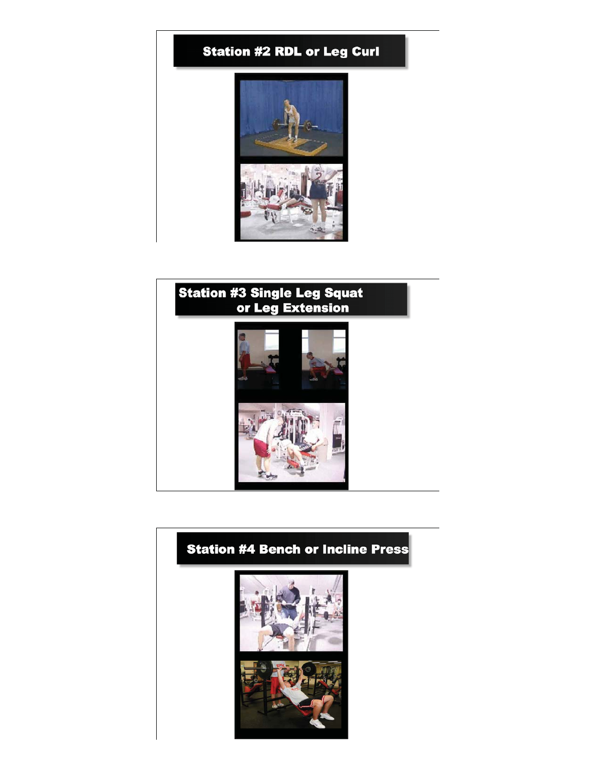



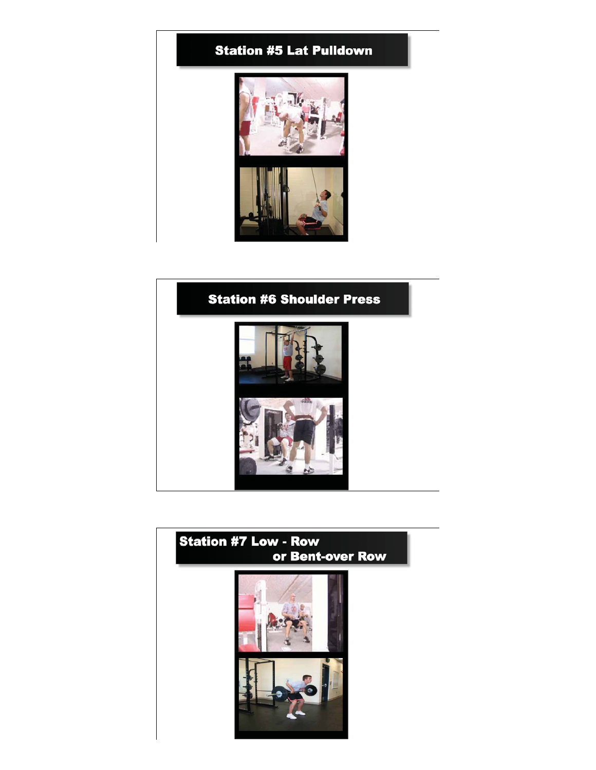



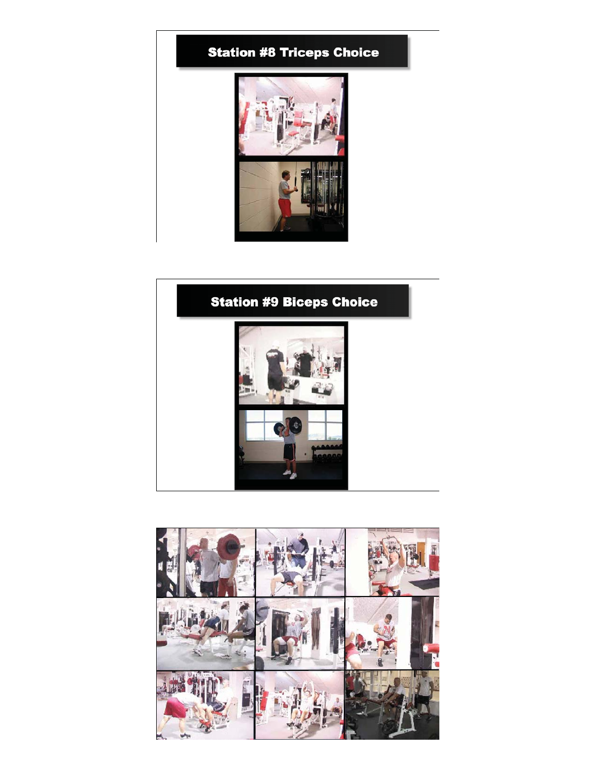



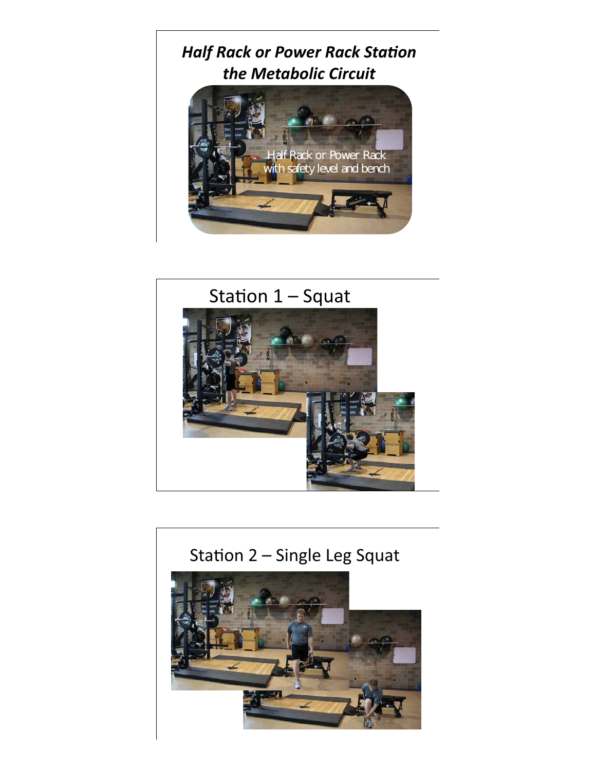



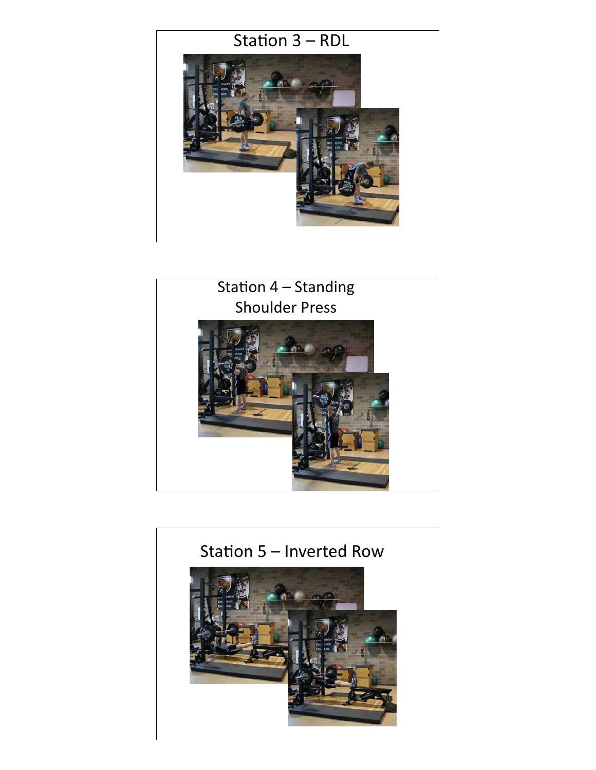



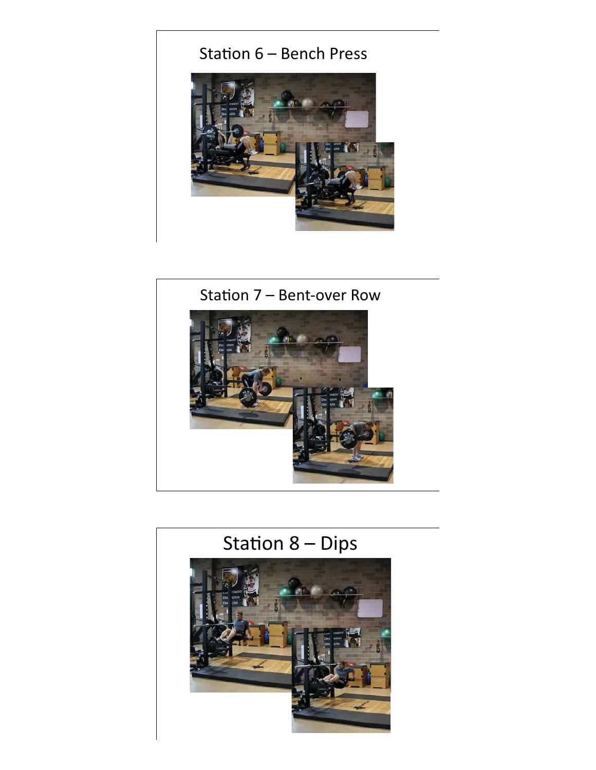